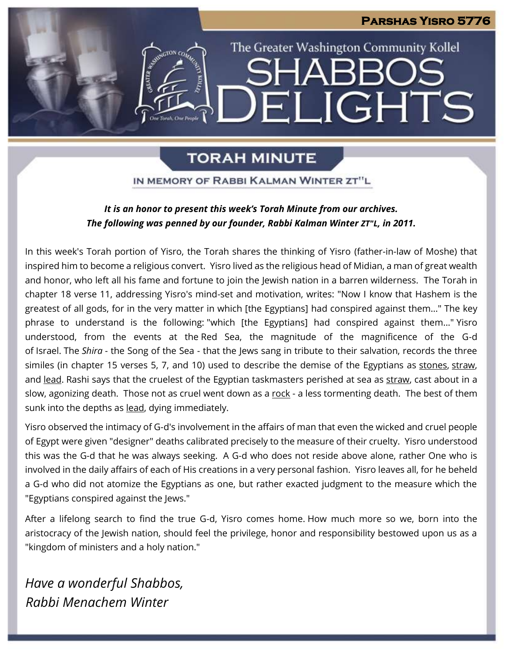### **Parshas Yisro 5776**

# The Greater Washington Community Kollel SHARE ELIGHTS

# **TORAH MINUTE**

IN MEMORY OF RABBI KALMAN WINTER ZT"L

### *It is an honor to present this week's Torah Minute from our archives. The following was penned by our founder, Rabbi Kalman Winter ZT"L, in 2011.*

In this week's Torah portion of Yisro, the Torah shares the thinking of Yisro (father-in-law of Moshe) that inspired him to become a religious convert. Yisro lived as the religious head of Midian, a man of great wealth and honor, who left all his fame and fortune to join the Jewish nation in a barren wilderness. The Torah in chapter 18 verse 11, addressing Yisro's mind-set and motivation, writes: "Now I know that Hashem is the greatest of all gods, for in the very matter in which [the Egyptians] had conspired against them..." The key phrase to understand is the following: "which [the Egyptians] had conspired against them..." Yisro understood, from the events at the Red Sea, the magnitude of the magnificence of the G-d of Israel. The *Shira* - the Song of the Sea - that the Jews sang in tribute to their salvation, records the three similes (in chapter 15 verses 5, 7, and 10) used to describe the demise of the Egyptians as stones, straw, and lead. Rashi says that the cruelest of the Egyptian taskmasters perished at sea as straw, cast about in a slow, agonizing death. Those not as cruel went down as a rock - a less tormenting death. The best of them sunk into the depths as lead, dying immediately.

Yisro observed the intimacy of G-d's involvement in the affairs of man that even the wicked and cruel people of Egypt were given "designer" deaths calibrated precisely to the measure of their cruelty. Yisro understood this was the G-d that he was always seeking. A G-d who does not reside above alone, rather One who is involved in the daily affairs of each of His creations in a very personal fashion. Yisro leaves all, for he beheld a G-d who did not atomize the Egyptians as one, but rather exacted judgment to the measure which the "Egyptians conspired against the Jews."

After a lifelong search to find the true G-d, Yisro comes home. How much more so we, born into the aristocracy of the Jewish nation, should feel the privilege, honor and responsibility bestowed upon us as a "kingdom of ministers and a holy nation."

*Have a wonderful Shabbos, Rabbi Menachem Winter*